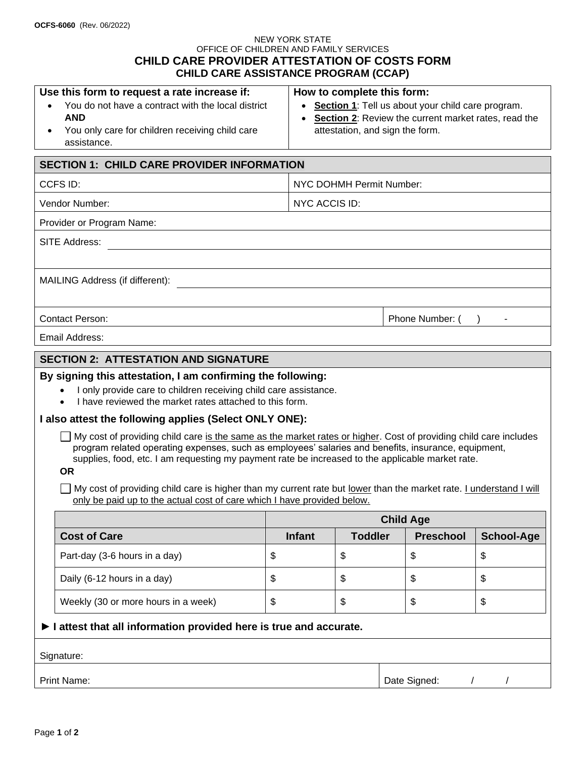#### NEW YORK STATE OFFICE OF CHILDREN AND FAMILY SERVICES **CHILD CARE PROVIDER ATTESTATION OF COSTS FORM CHILD CARE ASSISTANCE PROGRAM (CCAP)**

| Use this form to request a rate increase if:       | How to complete this form:                             |  |  |  |  |  |
|----------------------------------------------------|--------------------------------------------------------|--|--|--|--|--|
| You do not have a contract with the local district | • Section 1: Tell us about your child care program.    |  |  |  |  |  |
| <b>AND</b>                                         | • Section 2: Review the current market rates, read the |  |  |  |  |  |
| You only care for children receiving child care    | attestation, and sign the form.                        |  |  |  |  |  |
| assistance.                                        |                                                        |  |  |  |  |  |

# **SECTION 1: CHILD CARE PROVIDER INFORMATION** CCFS ID: NYC DOHMH Permit Number: Vendor Number: Notified a set of the set of the NYC ACCIS ID: Provider or Program Name: SITE Address: MAILING Address (if different): Contact Person: Phone Number: (Phone Number: (Phone Number: (Phone Number: (Phone Number: (Phone Number: (Phone Number: (Phone Number: (Phone Number: (Phone Number: (Phone Number: (Phone Number: (Phone Number: (Phone Numbe Email Address:

# **SECTION 2: ATTESTATION AND SIGNATURE**

### **By signing this attestation, I am confirming the following:**

- I only provide care to children receiving child care assistance.
- I have reviewed the market rates attached to this form.

#### **I also attest the following applies (Select ONLY ONE):**

 $\Box$  My cost of providing child care is the same as the market rates or higher. Cost of providing child care includes program related operating expenses, such as employees' salaries and benefits, insurance, equipment, supplies, food, etc. I am requesting my payment rate be increased to the applicable market rate.

#### **OR**

 $\Box$  My cost of providing child care is higher than my current rate but lower than the market rate. I understand I will only be paid up to the actual cost of care which I have provided below.

|                                                                                         |                                     | <b>Child Age</b> |                |                  |                   |  |  |  |  |  |
|-----------------------------------------------------------------------------------------|-------------------------------------|------------------|----------------|------------------|-------------------|--|--|--|--|--|
|                                                                                         | <b>Cost of Care</b>                 | <b>Infant</b>    | <b>Toddler</b> | <b>Preschool</b> | <b>School-Age</b> |  |  |  |  |  |
|                                                                                         | Part-day (3-6 hours in a day)       | \$               | \$             | \$               | \$                |  |  |  |  |  |
|                                                                                         | Daily (6-12 hours in a day)         | \$               | \$             | \$               | \$                |  |  |  |  |  |
|                                                                                         | Weekly (30 or more hours in a week) | \$               | \$             | \$               | \$                |  |  |  |  |  |
| $\blacktriangleright$ I attest that all information provided here is true and accurate. |                                     |                  |                |                  |                   |  |  |  |  |  |
|                                                                                         | Signature:                          |                  |                |                  |                   |  |  |  |  |  |
|                                                                                         | <b>Print Name:</b>                  |                  |                | Date Signed:     |                   |  |  |  |  |  |